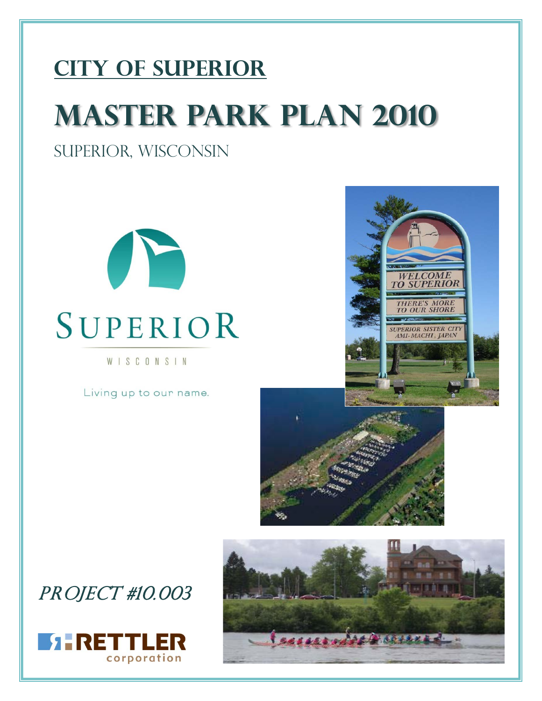# **CITY OF SUPERIOR Master Park Plan 2010**

## Superior, Wisconsin



# SUPERIOR

WISCONSIN

Living up to our name.





## PROJECT #10.003



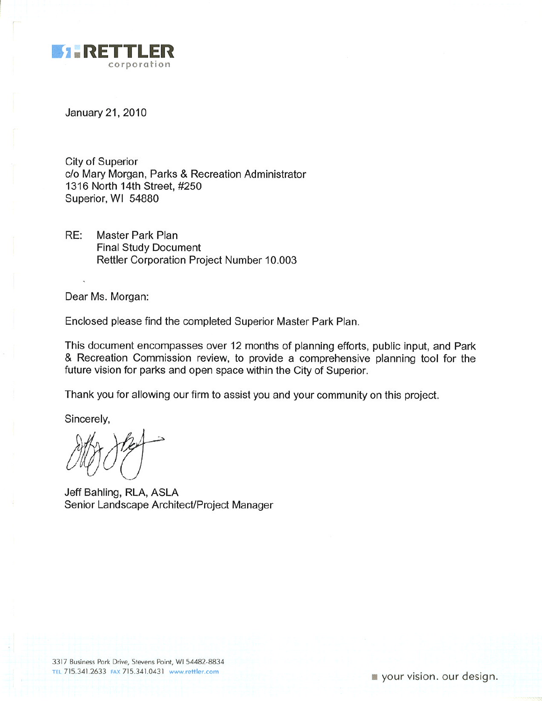

January 21, 2010

City of Superior c/o Mary Morgan, Parks & Recreation Administrator 1316 North 14th Street, #250 Superior, WI 54880

RE: **Master Park Plan Final Study Document** Rettler Corporation Project Number 10.003

Dear Ms. Morgan:

Enclosed please find the completed Superior Master Park Plan.

This document encompasses over 12 months of planning efforts, public input, and Park & Recreation Commission review, to provide a comprehensive planning tool for the future vision for parks and open space within the City of Superior.

Thank you for allowing our firm to assist you and your community on this project.

Sincerely,

Jeff Bahling, RLA, ASLA Senior Landscape Architect/Project Manager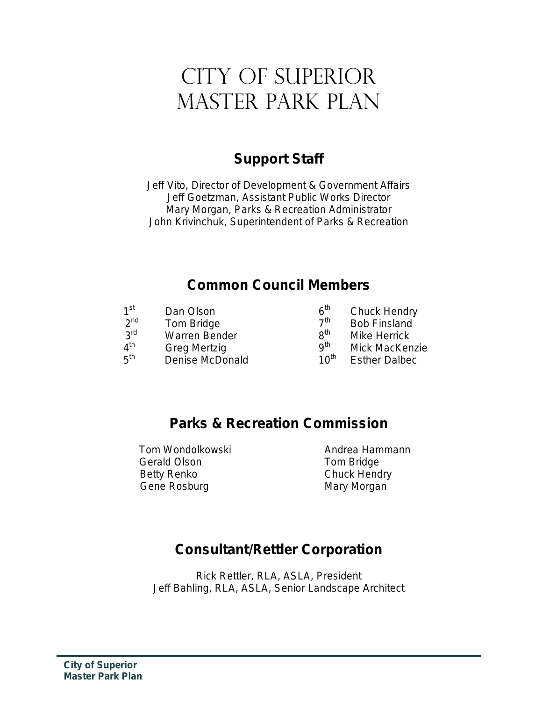## CITY OF SUPERIOR Master Park Plan

## *Support Staff*

Jeff Vito, Director of Development & Government Affairs Jeff Goetzman, Assistant Public Works Director Mary Morgan, Parks & Recreation Administrator John Krivinchuk, Superintendent of Parks & Recreation

## *Common Council Members*

| 1 <sup>st</sup><br>Dan Olson           | 6 <sup>th</sup>  | <b>Chuck Hendry</b>   |
|----------------------------------------|------------------|-----------------------|
| 2 <sub>nd</sub><br>Tom Bridge          | 7 <sup>th</sup>  | <b>Bob Finsland</b>   |
| <b>2rd</b><br><b>Warren Bender</b>     | $R^{th}$         | <b>Mike Herrick</b>   |
| $4^{\text{th}}$<br><b>Greg Mertzig</b> | q <sup>th</sup>  | <b>Mick MacKenzie</b> |
| $5^{\text{th}}$<br>Denise McDonald     | 10 <sup>th</sup> | <b>Esther Dalbec</b>  |

## *Parks & Recreation Commission*

Tom Wondolkowski **Andrea Hammann** Gerald Olson **Tom Bridge** Betty Renko Chuck Hendry Gene Rosburg **Mary Mary Morgan** 

## *Consultant/Rettler Corporation*

Rick Rettler, RLA, ASLA, President Jeff Bahling, RLA, ASLA, Senior Landscape Architect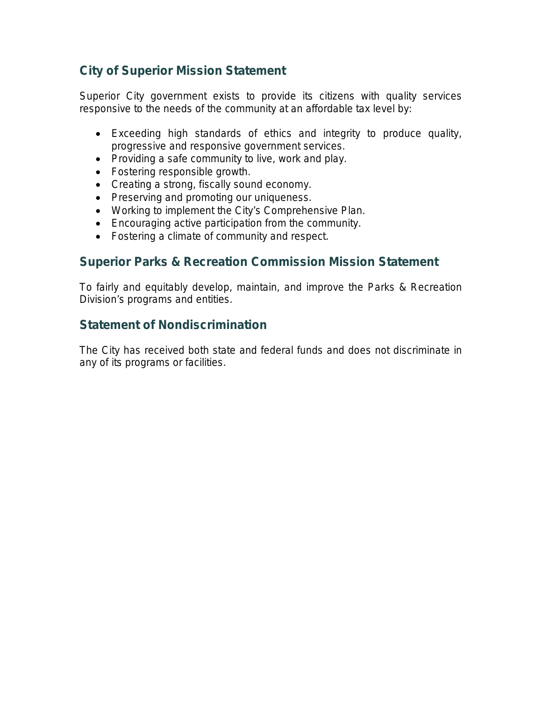#### **City of Superior Mission Statement**

Superior City government exists to provide its citizens with quality services responsive to the needs of the community at an affordable tax level by:

- Exceeding high standards of ethics and integrity to produce quality, progressive and responsive government services.
- Providing a safe community to live, work and play.
- Fostering responsible growth.
- Creating a strong, fiscally sound economy.
- Preserving and promoting our uniqueness.
- Working to implement the City's Comprehensive Plan.
- Encouraging active participation from the community.
- Fostering a climate of community and respect.

#### **Superior Parks & Recreation Commission Mission Statement**

To fairly and equitably develop, maintain, and improve the Parks & Recreation Division's programs and entities.

#### **Statement of Nondiscrimination**

The City has received both state and federal funds and does not discriminate in any of its programs or facilities.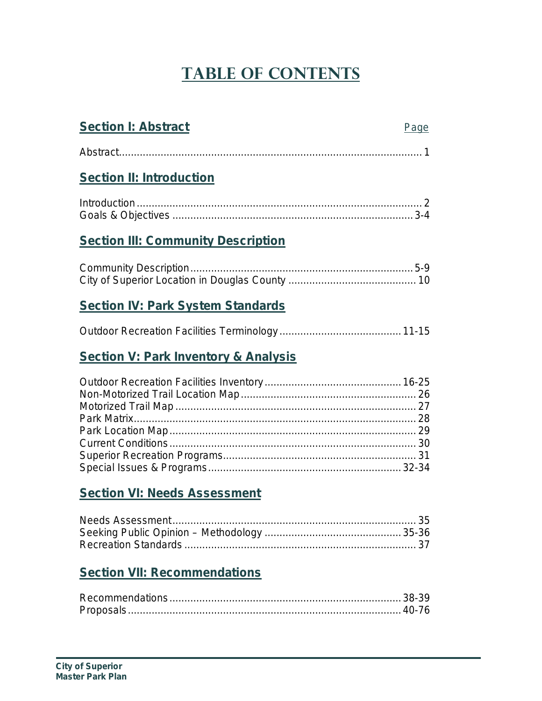## **Table of Contents**

## **Section I: Abstract** Page Abstract...................................................................................................... 1 **Section II: Introduction** Introduction ................................................................................................ 2 Goals & Objectives .................................................................................3-4 **Section III: Community Description** Community Description...........................................................................5-9 City of Superior Location in Douglas County ........................................... 10 **Section IV: Park System Standards** Outdoor Recreation Facilities Terminology ......................................... 11-15

## **Section V: Park Inventory & Analysis**

## **Section VI: Needs Assessment**

## **Section VII: Recommendations**